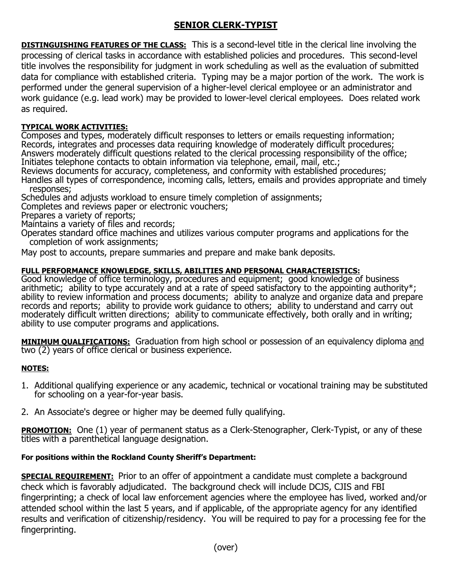# **SENIOR CLERK-TYPIST**

**DISTINGUISHING FEATURES OF THE CLASS:** This is a second-level title in the clerical line involving the processing of clerical tasks in accordance with established policies and procedures. This second-level title involves the responsibility for judgment in work scheduling as well as the evaluation of submitted data for compliance with established criteria. Typing may be a major portion of the work. The work is performed under the general supervision of a higher-level clerical employee or an administrator and work guidance (e.g. lead work) may be provided to lower-level clerical employees. Does related work as required.

# **TYPICAL WORK ACTIVITIES:**

Composes and types, moderately difficult responses to letters or emails requesting information; Records, integrates and processes data requiring knowledge of moderately difficult procedures; Answers moderately difficult questions related to the clerical processing responsibility of the office; Initiates telephone contacts to obtain information via telephone, email, mail, etc.;

Reviews documents for accuracy, completeness, and conformity with established procedures; Handles all types of correspondence, incoming calls, letters, emails and provides appropriate and timely responses;

Schedules and adjusts workload to ensure timely completion of assignments;

Completes and reviews paper or electronic vouchers;

Prepares a variety of reports;

Maintains a variety of files and records;

Operates standard office machines and utilizes various computer programs and applications for the completion of work assignments;

May post to accounts, prepare summaries and prepare and make bank deposits.

### **FULL PERFORMANCE KNOWLEDGE, SKILLS, ABILITIES AND PERSONAL CHARACTERISTICS:**

Good knowledge of office terminology, procedures and equipment; good knowledge of business arithmetic; ability to type accurately and at a rate of speed satisfactory to the appointing authority\*; ability to review information and process documents; ability to analyze and organize data and prepare records and reports; ability to provide work guidance to others; ability to understand and carry out moderately difficult written directions; ability to communicate effectively, both orally and in writing; ability to use computer programs and applications.

**MINIMUM QUALIFICATIONS:** Graduation from high school or possession of an equivalency diploma and two (2) years of office clerical or business experience.

#### **NOTES:**

- 1. Additional qualifying experience or any academic, technical or vocational training may be substituted for schooling on a year-for-year basis.
- 2. An Associate's degree or higher may be deemed fully qualifying.

**PROMOTION:** One (1) year of permanent status as a Clerk-Stenographer, Clerk-Typist, or any of these titles with a parenthetical language designation.

# **For positions within the Rockland County Sheriff's Department:**

**SPECIAL REQUIREMENT:** Prior to an offer of appointment a candidate must complete a background check which is favorably adjudicated. The background check will include DCJS, CJIS and FBI fingerprinting; a check of local law enforcement agencies where the employee has lived, worked and/or attended school within the last 5 years, and if applicable, of the appropriate agency for any identified results and verification of citizenship/residency. You will be required to pay for a processing fee for the fingerprinting.